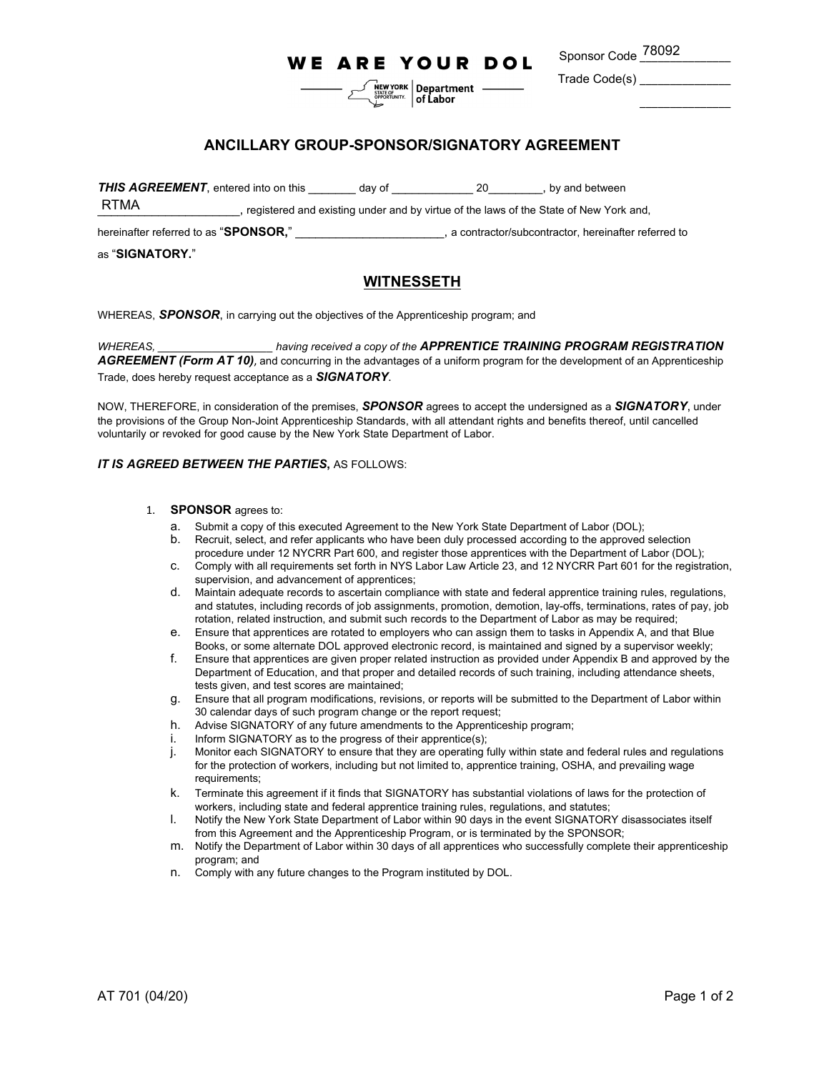## **WE ARE YOUR DOL**

 $\left[\begin{array}{c}\n\hline\n\text{NEW YORK} \\
\text{SIATE OF} \\
\hline\n\end{array}\right]$  Department —

Sponsor Code <sup>78092</sup> ————

\_\_\_\_\_\_\_\_\_\_\_\_\_\_\_

Trade Code(s) \_\_\_\_\_\_\_\_\_\_\_\_\_\_\_

## **ANCILLARY GROUP-SPONSOR/SIGNATORY AGREEMENT**

**THIS AGREEMENT**, entered into on this day of the same of the settlement of the settlement of the settlement of the settlement of the settlement of the settlement of the settlement of the settlement of the settlement of th

\_\_\_\_\_\_\_\_\_\_\_\_\_\_\_\_\_\_\_\_\_, registered and existing under and by virtue of the laws of the State of New York and, RTMA

hereinafter referred to as "**SPONSOR,**" \_\_\_\_\_\_\_\_\_\_\_\_\_\_\_\_\_\_\_\_\_\_, a contractor/subcontractor, hereinafter referred to

#### as "**SIGNATORY.**"

### **WITNESSETH**

WHEREAS, *SPONSOR*, in carrying out the objectives of the Apprenticeship program; and

*WHEREAS, \_\_\_\_\_\_\_\_\_\_\_\_\_\_\_\_\_\_\_ having received a copy of the APPRENTICE TRAINING PROGRAM REGISTRATION* AGREEMENT (Form AT 10), and concurring in the advantages of a uniform program for the development of an Apprenticeship Trade, does hereby request acceptance as a *SIGNATORY*.

NOW, THEREFORE, in consideration of the premises, *SPONSOR* agrees to accept the undersigned as a *SIGNATORY*, under the provisions of the Group Non-Joint Apprenticeship Standards, with all attendant rights and benefits thereof, until cancelled voluntarily or revoked for good cause by the New York State Department of Labor.

#### **IT IS AGREED BETWEEN THE PARTIES, AS FOLLOWS:**

#### 1. **SPONSOR** agrees to:

- a. Submit a copy of this executed Agreement to the New York State Department of Labor (DOL);
- b. Recruit, select, and refer applicants who have been duly processed according to the approved selection procedure under 12 NYCRR Part 600, and register those apprentices with the Department of Labor (DOL);
- c. Comply with all requirements set forth in NYS Labor Law Article 23, and 12 NYCRR Part 601 for the registration, supervision, and advancement of apprentices;
- d. Maintain adequate records to ascertain compliance with state and federal apprentice training rules, regulations, and statutes, including records of job assignments, promotion, demotion, lay-offs, terminations, rates of pay, job rotation, related instruction, and submit such records to the Department of Labor as may be required;
- e. Ensure that apprentices are rotated to employers who can assign them to tasks in Appendix A, and that Blue Books, or some alternate DOL approved electronic record, is maintained and signed by a supervisor weekly;
- f. Ensure that apprentices are given proper related instruction as provided under Appendix B and approved by the Department of Education, and that proper and detailed records of such training, including attendance sheets, tests given, and test scores are maintained;
- g. Ensure that all program modifications, revisions, or reports will be submitted to the Department of Labor within 30 calendar days of such program change or the report request;
- h. Advise SIGNATORY of any future amendments to the Apprenticeship program;
- i. Inform SIGNATORY as to the progress of their apprentice(s);
- j. Monitor each SIGNATORY to ensure that they are operating fully within state and federal rules and regulations for the protection of workers, including but not limited to, apprentice training, OSHA, and prevailing wage requirements;
- k. Terminate this agreement if it finds that SIGNATORY has substantial violations of laws for the protection of workers, including state and federal apprentice training rules, regulations, and statutes;
- l. Notify the New York State Department of Labor within 90 days in the event SIGNATORY disassociates itself from this Agreement and the Apprenticeship Program, or is terminated by the SPONSOR;
- m. Notify the Department of Labor within 30 days of all apprentices who successfully complete their apprenticeship program; and
- n. Comply with any future changes to the Program instituted by DOL.